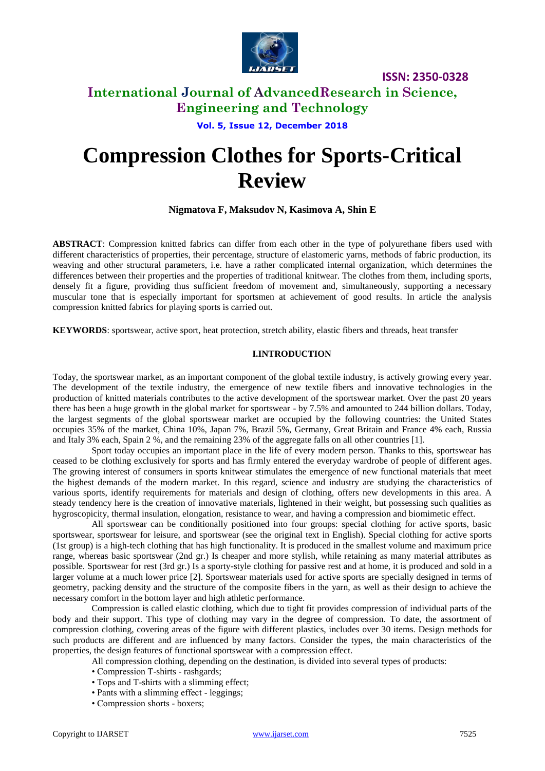

### **International Journal of AdvancedResearch in Science, Engineering and Technology**

**Vol. 5, Issue 12, December 2018**

# **Compression Clothes for Sports-Critical Review**

**Nigmatova F, Maksudov N, Kasimova A, Shin E**

**ABSTRACT**: Compression knitted fabrics can differ from each other in the type of polyurethane fibers used with different characteristics of properties, their percentage, structure of elastomeric yarns, methods of fabric production, its weaving and other structural parameters, i.e. have a rather complicated internal organization, which determines the differences between their properties and the properties of traditional knitwear. The clothes from them, including sports, densely fit a figure, providing thus sufficient freedom of movement and, simultaneously, supporting a necessary muscular tone that is especially important for sportsmen at achievement of good results. In article the analysis compression knitted fabrics for playing sports is carried out.

**KEYWORDS**: sportswear, active sport, heat protection, stretch ability, elastic fibers and threads, heat transfer

### **I.INTRODUCTION**

Today, the sportswear market, as an important component of the global textile industry, is actively growing every year. The development of the textile industry, the emergence of new textile fibers and innovative technologies in the production of knitted materials contributes to the active development of the sportswear market. Over the past 20 years there has been a huge growth in the global market for sportswear - by 7.5% and amounted to 244 billion dollars. Today, the largest segments of the global sportswear market are occupied by the following countries: the United States occupies 35% of the market, China 10%, Japan 7%, Brazil 5%, Germany, Great Britain and France 4% each, Russia and Italy 3% each, Spain 2 %, and the remaining 23% of the aggregate falls on all other countries [1].

Sport today occupies an important place in the life of every modern person. Thanks to this, sportswear has ceased to be clothing exclusively for sports and has firmly entered the everyday wardrobe of people of different ages. The growing interest of consumers in sports knitwear stimulates the emergence of new functional materials that meet the highest demands of the modern market. In this regard, science and industry are studying the characteristics of various sports, identify requirements for materials and design of clothing, offers new developments in this area. A steady tendency here is the creation of innovative materials, lightened in their weight, but possessing such qualities as hygroscopicity, thermal insulation, elongation, resistance to wear, and having a compression and biomimetic effect.

All sportswear can be conditionally positioned into four groups: special clothing for active sports, basic sportswear, sportswear for leisure, and sportswear (see the original text in English). Special clothing for active sports (1st group) is a high-tech clothing that has high functionality. It is produced in the smallest volume and maximum price range, whereas basic sportswear (2nd gr.) Is cheaper and more stylish, while retaining as many material attributes as possible. Sportswear for rest (3rd gr.) Is a sporty-style clothing for passive rest and at home, it is produced and sold in a larger volume at a much lower price [2]. Sportswear materials used for active sports are specially designed in terms of geometry, packing density and the structure of the composite fibers in the yarn, as well as their design to achieve the necessary comfort in the bottom layer and high athletic performance.

Compression is called elastic clothing, which due to tight fit provides compression of individual parts of the body and their support. This type of clothing may vary in the degree of compression. To date, the assortment of compression clothing, covering areas of the figure with different plastics, includes over 30 items. Design methods for such products are different and are influenced by many factors. Consider the types, the main characteristics of the properties, the design features of functional sportswear with a compression effect.

All compression clothing, depending on the destination, is divided into several types of products:

- Compression T-shirts rashgards;
- Tops and T-shirts with a slimming effect;
- Pants with a slimming effect leggings;
- Compression shorts boxers;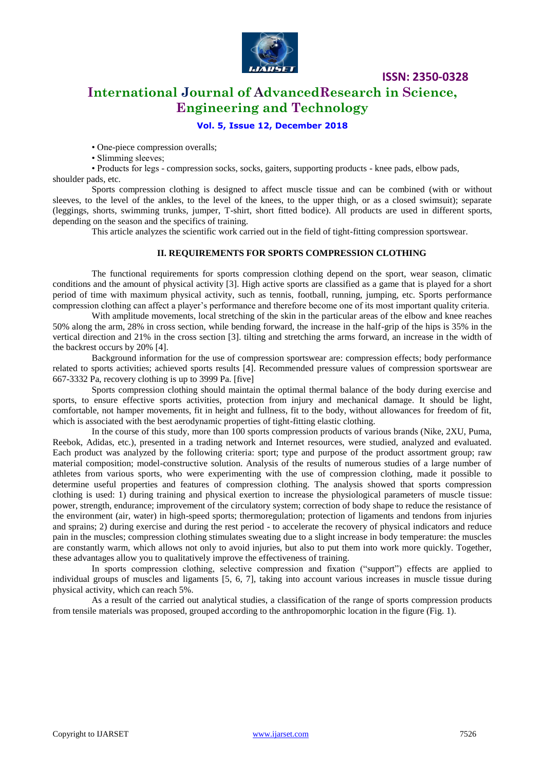

**International Journal of AdvancedResearch in Science, Engineering and Technology**

### **Vol. 5, Issue 12, December 2018**

• One-piece compression overalls;

• Slimming sleeves;

• Products for legs - compression socks, socks, gaiters, supporting products - knee pads, elbow pads, shoulder pads, etc.

Sports compression clothing is designed to affect muscle tissue and can be combined (with or without sleeves, to the level of the ankles, to the level of the knees, to the upper thigh, or as a closed swimsuit); separate (leggings, shorts, swimming trunks, jumper, T-shirt, short fitted bodice). All products are used in different sports, depending on the season and the specifics of training.

This article analyzes the scientific work carried out in the field of tight-fitting compression sportswear.

### **II. REQUIREMENTS FOR SPORTS COMPRESSION CLOTHING**

The functional requirements for sports compression clothing depend on the sport, wear season, climatic conditions and the amount of physical activity [3]. High active sports are classified as a game that is played for a short period of time with maximum physical activity, such as tennis, football, running, jumping, etc. Sports performance compression clothing can affect a player's performance and therefore become one of its most important quality criteria.

With amplitude movements, local stretching of the skin in the particular areas of the elbow and knee reaches 50% along the arm, 28% in cross section, while bending forward, the increase in the half-grip of the hips is 35% in the vertical direction and 21% in the cross section [3]. tilting and stretching the arms forward, an increase in the width of the backrest occurs by 20% [4].

Background information for the use of compression sportswear are: compression effects; body performance related to sports activities; achieved sports results [4]. Recommended pressure values of compression sportswear are 667-3332 Pa, recovery clothing is up to 3999 Pa. [five]

Sports compression clothing should maintain the optimal thermal balance of the body during exercise and sports, to ensure effective sports activities, protection from injury and mechanical damage. It should be light, comfortable, not hamper movements, fit in height and fullness, fit to the body, without allowances for freedom of fit, which is associated with the best aerodynamic properties of tight-fitting elastic clothing.

In the course of this study, more than 100 sports compression products of various brands (Nike, 2XU, Puma, Reebok, Adidas, etc.), presented in a trading network and Internet resources, were studied, analyzed and evaluated. Each product was analyzed by the following criteria: sport; type and purpose of the product assortment group; raw material composition; model-constructive solution. Analysis of the results of numerous studies of a large number of athletes from various sports, who were experimenting with the use of compression clothing, made it possible to determine useful properties and features of compression clothing. The analysis showed that sports compression clothing is used: 1) during training and physical exertion to increase the physiological parameters of muscle tissue: power, strength, endurance; improvement of the circulatory system; correction of body shape to reduce the resistance of the environment (air, water) in high-speed sports; thermoregulation; protection of ligaments and tendons from injuries and sprains; 2) during exercise and during the rest period - to accelerate the recovery of physical indicators and reduce pain in the muscles; compression clothing stimulates sweating due to a slight increase in body temperature: the muscles are constantly warm, which allows not only to avoid injuries, but also to put them into work more quickly. Together, these advantages allow you to qualitatively improve the effectiveness of training.

In sports compression clothing, selective compression and fixation ("support") effects are applied to individual groups of muscles and ligaments [5, 6, 7], taking into account various increases in muscle tissue during physical activity, which can reach 5%.

As a result of the carried out analytical studies, a classification of the range of sports compression products from tensile materials was proposed, grouped according to the anthropomorphic location in the figure (Fig. 1).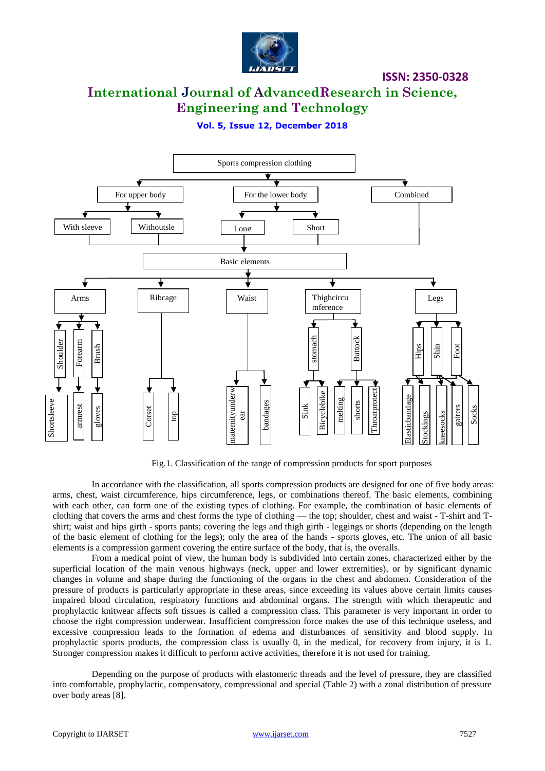

# **International Journal of AdvancedResearch in Science, Engineering and Technology**

**Vol. 5, Issue 12, December 2018**



Fig.1. Classification of the range of compression products for sport purposes

In accordance with the classification, all sports compression products are designed for one of five body areas: arms, chest, waist circumference, hips circumference, legs, or combinations thereof. The basic elements, combining with each other, can form one of the existing types of clothing. For example, the combination of basic elements of clothing that covers the arms and chest forms the type of clothing — the top; shoulder, chest and waist - T-shirt and Tshirt; waist and hips girth - sports pants; covering the legs and thigh girth - leggings or shorts (depending on the length of the basic element of clothing for the legs); only the area of the hands - sports gloves, etc. The union of all basic elements is a compression garment covering the entire surface of the body, that is, the overalls.

From a medical point of view, the human body is subdivided into certain zones, characterized either by the superficial location of the main venous highways (neck, upper and lower extremities), or by significant dynamic changes in volume and shape during the functioning of the organs in the chest and abdomen. Consideration of the pressure of products is particularly appropriate in these areas, since exceeding its values above certain limits causes impaired blood circulation, respiratory functions and abdominal organs. The strength with which therapeutic and prophylactic knitwear affects soft tissues is called a compression class. This parameter is very important in order to choose the right compression underwear. Insufficient compression force makes the use of this technique useless, and excessive compression leads to the formation of edema and disturbances of sensitivity and blood supply. In prophylactic sports products, the compression class is usually 0, in the medical, for recovery from injury, it is 1. Stronger compression makes it difficult to perform active activities, therefore it is not used for training. **Example 12**<br> **Example 12**<br> **Example 12**<br> **Example 12**<br> **Example 12**<br> **Example 12**<br> **Example 12**<br> **Example 12**<br> **Example 12**<br> **Example 12**<br> **Example 12**<br> **Example 12**<br> **Example 12**<br> **Example 12**<br> **Example 12**<br> **Example 12** 

Depending on the purpose of products with elastomeric threads and the level of pressure, they are classified into comfortable, prophylactic, compensatory, compressional and special (Table 2) with a zonal distribution of pressure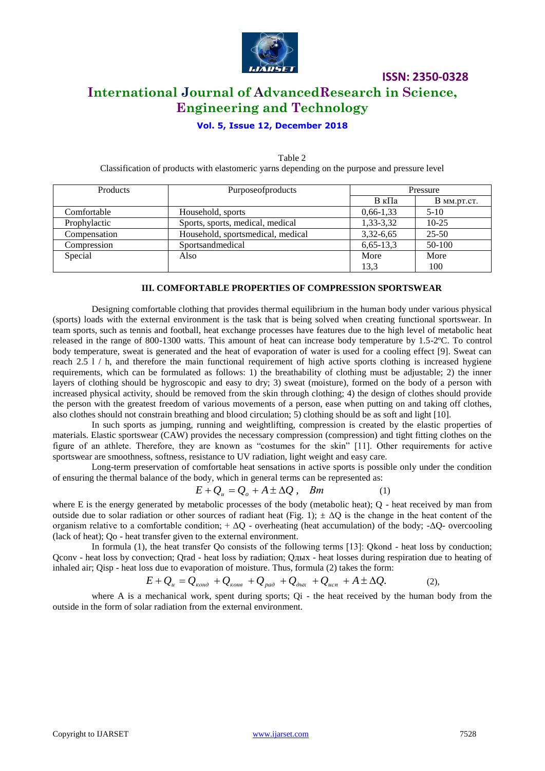

# **ISSN: 2350-0328 International Journal of AdvancedResearch in Science, Engineering and Technology**

### **Vol. 5, Issue 12, December 2018**

| Products     | Purposeofproducts                 | Pressure    |                 |
|--------------|-----------------------------------|-------------|-----------------|
|              |                                   | В кПа       | $B_{MM,DT,CT.}$ |
| Comfortable  | Household, sports                 | $0,66-1,33$ | $5-10$          |
| Prophylactic | Sports, sports, medical, medical  | 1,33-3,32   | $10-25$         |
| Compensation | Household, sportsmedical, medical | $3,32-6,65$ | $25 - 50$       |
| Compression  | Sportsandmedical                  | $6,65-13,3$ | 50-100          |
| Special      | Also                              | More        | More            |
|              |                                   | 13,3        | 100             |

Table 2 Classification of products with elastomeric yarns depending on the purpose and pressure level

#### **III. COMFORTABLE PROPERTIES OF COMPRESSION SPORTSWEAR**

Designing comfortable clothing that provides thermal equilibrium in the human body under various physical (sports) loads with the external environment is the task that is being solved when creating functional sportswear. In team sports, such as tennis and football, heat exchange processes have features due to the high level of metabolic heat released in the range of 800-1300 watts. This amount of heat can increase body temperature by 1.5-2ºC. To control body temperature, sweat is generated and the heat of evaporation of water is used for a cooling effect [9]. Sweat can reach 2.5 l / h, and therefore the main functional requirement of high active sports clothing is increased hygiene requirements, which can be formulated as follows: 1) the breathability of clothing must be adjustable; 2) the inner layers of clothing should be hygroscopic and easy to dry; 3) sweat (moisture), formed on the body of a person with increased physical activity, should be removed from the skin through clothing; 4) the design of clothes should provide the person with the greatest freedom of various movements of a person, ease when putting on and taking off clothes, also clothes should not constrain breathing and blood circulation; 5) clothing should be as soft and light [10].

In such sports as jumping, running and weightlifting, compression is created by the elastic properties of materials. Elastic sportswear (CAW) provides the necessary compression (compression) and tight fitting clothes on the figure of an athlete. Therefore, they are known as "costumes for the skin" [11]. Other requirements for active sportswear are smoothness, softness, resistance to UV radiation, light weight and easy care.

Long-term preservation of comfortable heat sensations in active sports is possible only under the condition of ensuring the thermal balance of the body, which in general terms can be represented as:

$$
E + Q_u = Q_o + A \pm \Delta Q \,, \quad Bm \tag{1}
$$

where E is the energy generated by metabolic processes of the body (metabolic heat); Q - heat received by man from outside due to solar radiation or other sources of radiant heat (Fig. 1);  $\pm \Delta Q$  is the change in the heat content of the organism relative to a comfortable condition;  $+\Delta Q$  - overheating (heat accumulation) of the body; - $\Delta Q$ - overcooling (lack of heat); Qo - heat transfer given to the external environment.

In formula (1), the heat transfer Oo consists of the following terms [13]: Okond - heat loss by conduction; Qconv - heat loss by convection; Qrad - heat loss by radiation; Qдых - heat losses during respiration due to heating of inhaled air; Qisp - heat loss due to evaporation of moisture. Thus, formula (2) takes the form:

$$
E + Q_u = Q_{\kappa o_{H\partial}} + Q_{\kappa o_{H\partial}} + Q_{\rho a\partial} + Q_{\partial b\kappa} + Q_{ucn} + A \pm \Delta Q.
$$
 (2),

where A is a mechanical work, spent during sports; Qi - the heat received by the human body from the outside in the form of solar radiation from the external environment.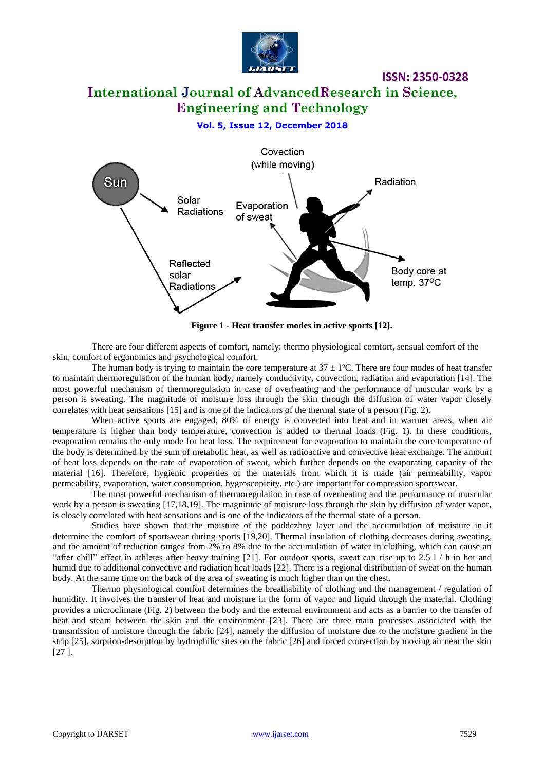

## **International Journal of AdvancedResearch in Science, Engineering and Technology**

### **Vol. 5, Issue 12, December 2018**



**Figure 1 - Heat transfer modes in active sports [12].**

There are four different aspects of comfort, namely: thermo physiological comfort, sensual comfort of the skin, comfort of ergonomics and psychological comfort.

The human body is trying to maintain the core temperature at  $37 \pm 1^{\circ}$ C. There are four modes of heat transfer to maintain thermoregulation of the human body, namely conductivity, convection, radiation and evaporation [14]. The most powerful mechanism of thermoregulation in case of overheating and the performance of muscular work by a person is sweating. The magnitude of moisture loss through the skin through the diffusion of water vapor closely correlates with heat sensations [15] and is one of the indicators of the thermal state of a person (Fig. 2).

When active sports are engaged, 80% of energy is converted into heat and in warmer areas, when air temperature is higher than body temperature, convection is added to thermal loads (Fig. 1). In these conditions, evaporation remains the only mode for heat loss. The requirement for evaporation to maintain the core temperature of the body is determined by the sum of metabolic heat, as well as radioactive and convective heat exchange. The amount of heat loss depends on the rate of evaporation of sweat, which further depends on the evaporating capacity of the material [16]. Therefore, hygienic properties of the materials from which it is made (air permeability, vapor permeability, evaporation, water consumption, hygroscopicity, etc.) are important for compression sportswear.

The most powerful mechanism of thermoregulation in case of overheating and the performance of muscular work by a person is sweating [17,18,19]. The magnitude of moisture loss through the skin by diffusion of water vapor, is closely correlated with heat sensations and is one of the indicators of the thermal state of a person.

Studies have shown that the moisture of the poddezhny layer and the accumulation of moisture in it determine the comfort of sportswear during sports [19,20]. Thermal insulation of clothing decreases during sweating, and the amount of reduction ranges from 2% to 8% due to the accumulation of water in clothing, which can cause an "after chill" effect in athletes after heavy training [21]. For outdoor sports, sweat can rise up to 2.5  $1/$  h in hot and humid due to additional convective and radiation heat loads [22]. There is a regional distribution of sweat on the human body. At the same time on the back of the area of sweating is much higher than on the chest.

Thermo physiological comfort determines the breathability of clothing and the management / regulation of humidity. It involves the transfer of heat and moisture in the form of vapor and liquid through the material. Clothing provides a microclimate (Fig. 2) between the body and the external environment and acts as a barrier to the transfer of heat and steam between the skin and the environment [23]. There are three main processes associated with the transmission of moisture through the fabric [24], namely the diffusion of moisture due to the moisture gradient in the strip [25], sorption-desorption by hydrophilic sites on the fabric [26] and forced convection by moving air near the skin [27 ].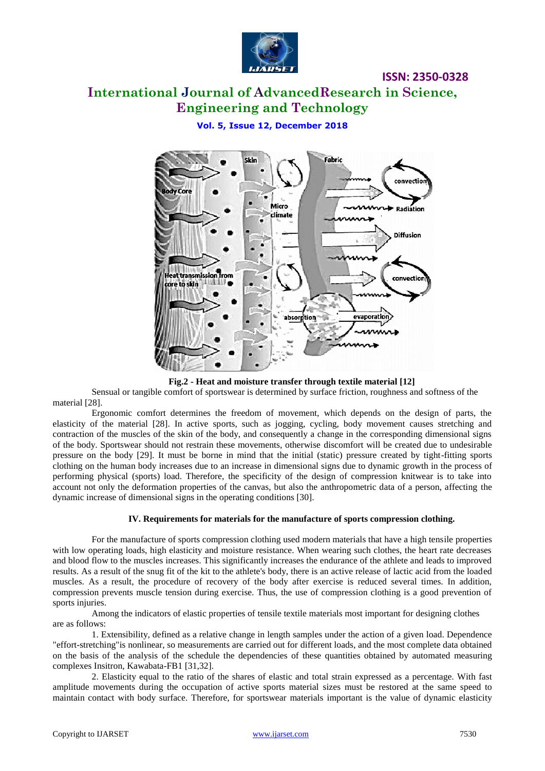

# **International Journal of AdvancedResearch in Science, Engineering and Technology**

### **Vol. 5, Issue 12, December 2018**



**Fig.2 - Heat and moisture transfer through textile material [12]**

Sensual or tangible comfort of sportswear is determined by surface friction, roughness and softness of the material [28].

Ergonomic comfort determines the freedom of movement, which depends on the design of parts, the elasticity of the material [28]. In active sports, such as jogging, cycling, body movement causes stretching and contraction of the muscles of the skin of the body, and consequently a change in the corresponding dimensional signs of the body. Sportswear should not restrain these movements, otherwise discomfort will be created due to undesirable pressure on the body [29]. It must be borne in mind that the initial (static) pressure created by tight-fitting sports clothing on the human body increases due to an increase in dimensional signs due to dynamic growth in the process of performing physical (sports) load. Therefore, the specificity of the design of compression knitwear is to take into account not only the deformation properties of the canvas, but also the anthropometric data of a person, affecting the dynamic increase of dimensional signs in the operating conditions [30].

### **IV. Requirements for materials for the manufacture of sports compression clothing.**

For the manufacture of sports compression clothing used modern materials that have a high tensile properties with low operating loads, high elasticity and moisture resistance. When wearing such clothes, the heart rate decreases and blood flow to the muscles increases. This significantly increases the endurance of the athlete and leads to improved results. As a result of the snug fit of the kit to the athlete's body, there is an active release of lactic acid from the loaded muscles. As a result, the procedure of recovery of the body after exercise is reduced several times. In addition, compression prevents muscle tension during exercise. Thus, the use of compression clothing is a good prevention of sports injuries.

Among the indicators of elastic properties of tensile textile materials most important for designing clothes are as follows:

1. Extensibility, defined as a relative change in length samples under the action of a given load. Dependence "effort-stretching"is nonlinear, so measurements are carried out for different loads, and the most complete data obtained on the basis of the analysis of the schedule the dependencies of these quantities obtained by automated measuring complexes Insitron, Kawabata-FB1 [31,32].

2. Elasticity equal to the ratio of the shares of elastic and total strain expressed as a percentage. With fast amplitude movements during the occupation of active sports material sizes must be restored at the same speed to maintain contact with body surface. Therefore, for sportswear materials important is the value of dynamic elasticity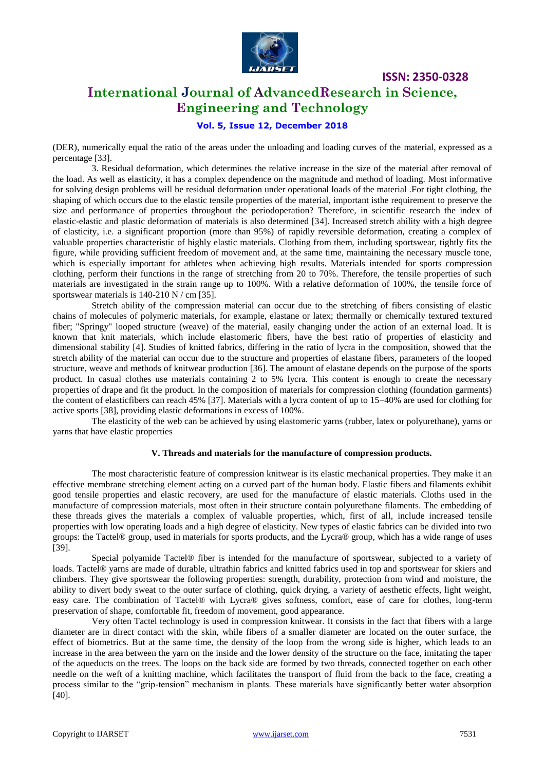

### **International Journal of AdvancedResearch in Science, Engineering and Technology**

### **Vol. 5, Issue 12, December 2018**

(DER), numerically equal the ratio of the areas under the unloading and loading curves of the material, expressed as a percentage [33].

3. Residual deformation, which determines the relative increase in the size of the material after removal of the load. As well as elasticity, it has a complex dependence on the magnitude and method of loading. Most informative for solving design problems will be residual deformation under operational loads of the material .For tight clothing, the shaping of which occurs due to the elastic tensile properties of the material, important isthe requirement to preserve the size and performance of properties throughout the periodoperation? Therefore, in scientific research the index of elastic-elastic and plastic deformation of materials is also determined [34]. Increased stretch ability with a high degree of elasticity, i.e. a significant proportion (more than 95%) of rapidly reversible deformation, creating a complex of valuable properties characteristic of highly elastic materials. Clothing from them, including sportswear, tightly fits the figure, while providing sufficient freedom of movement and, at the same time, maintaining the necessary muscle tone, which is especially important for athletes when achieving high results. Materials intended for sports compression clothing, perform their functions in the range of stretching from 20 to 70%. Therefore, the tensile properties of such materials are investigated in the strain range up to 100%. With a relative deformation of 100%, the tensile force of sportswear materials is 140-210 N / cm [35].

Stretch ability of the compression material can occur due to the stretching of fibers consisting of elastic chains of molecules of polymeric materials, for example, elastane or latex; thermally or chemically textured textured fiber; "Springy" looped structure (weave) of the material, easily changing under the action of an external load. It is known that knit materials, which include elastomeric fibers, have the best ratio of properties of elasticity and dimensional stability [4]. Studies of knitted fabrics, differing in the ratio of lycra in the composition, showed that the stretch ability of the material can occur due to the structure and properties of elastane fibers, parameters of the looped structure, weave and methods of knitwear production [36]. The amount of elastane depends on the purpose of the sports product. In casual clothes use materials containing 2 to 5% lycra. This content is enough to create the necessary properties of drape and fit the product. In the composition of materials for compression clothing (foundation garments) the content of elasticfibers can reach 45% [37]. Materials with a lycra content of up to 15–40% are used for clothing for active sports [38], providing elastic deformations in excess of 100%.

The elasticity of the web can be achieved by using elastomeric yarns (rubber, latex or polyurethane), yarns or yarns that have elastic properties

#### **V. Threads and materials for the manufacture of compression products.**

The most characteristic feature of compression knitwear is its elastic mechanical properties. They make it an effective membrane stretching element acting on a curved part of the human body. Elastic fibers and filaments exhibit good tensile properties and elastic recovery, are used for the manufacture of elastic materials. Cloths used in the manufacture of compression materials, most often in their structure contain polyurethane filaments. The embedding of these threads gives the materials a complex of valuable properties, which, first of all, include increased tensile properties with low operating loads and a high degree of elasticity. New types of elastic fabrics can be divided into two groups: the Tactel® group, used in materials for sports products, and the Lycra® group, which has a wide range of uses [39].

Special polyamide Tactel® fiber is intended for the manufacture of sportswear, subjected to a variety of loads. Tactel® yarns are made of durable, ultrathin fabrics and knitted fabrics used in top and sportswear for skiers and climbers. They give sportswear the following properties: strength, durability, protection from wind and moisture, the ability to divert body sweat to the outer surface of clothing, quick drying, a variety of aesthetic effects, light weight, easy care. The combination of Tactel® with Lycra® gives softness, comfort, ease of care for clothes, long-term preservation of shape, comfortable fit, freedom of movement, good appearance.

Very often Tactel technology is used in compression knitwear. It consists in the fact that fibers with a large diameter are in direct contact with the skin, while fibers of a smaller diameter are located on the outer surface, the effect of biometrics. But at the same time, the density of the loop from the wrong side is higher, which leads to an increase in the area between the yarn on the inside and the lower density of the structure on the face, imitating the taper of the aqueducts on the trees. The loops on the back side are formed by two threads, connected together on each other needle on the weft of a knitting machine, which facilitates the transport of fluid from the back to the face, creating a process similar to the "grip-tension" mechanism in plants. These materials have significantly better water absorption [40].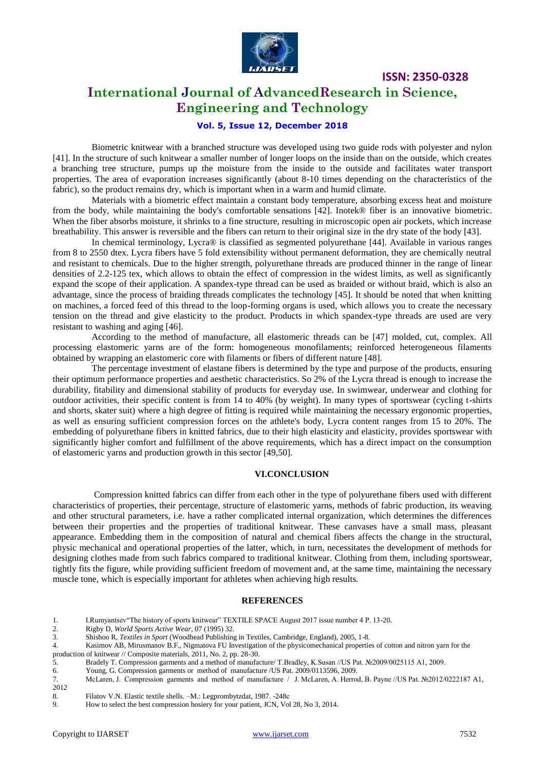

## **International Journal of AdvancedResearch in Science, Engineering and Technology**

### **Vol. 5, Issue 12, December 2018**

Biometric knitwear with a branched structure was developed using two guide rods with polyester and nylon [41]. In the structure of such knitwear a smaller number of longer loops on the inside than on the outside, which creates a branching tree structure, pumps up the moisture from the inside to the outside and facilitates water transport properties. The area of evaporation increases significantly (about 8-10 times depending on the characteristics of the fabric), so the product remains dry, which is important when in a warm and humid climate.

Materials with a biometric effect maintain a constant body temperature, absorbing excess heat and moisture from the body, while maintaining the body's comfortable sensations [42]. Inotek® fiber is an innovative biometric. When the fiber absorbs moisture, it shrinks to a fine structure, resulting in microscopic open air pockets, which increase breathability. This answer is reversible and the fibers can return to their original size in the dry state of the body [43].

In chemical terminology, Lycra® is classified as segmented polyurethane [44]. Available in various ranges from 8 to 2550 dtex. Lycra fibers have 5 fold extensibility without permanent deformation, they are chemically neutral and resistant to chemicals. Due to the higher strength, polyurethane threads are produced thinner in the range of linear densities of 2.2-125 tex, which allows to obtain the effect of compression in the widest limits, as well as significantly expand the scope of their application. A spandex-type thread can be used as braided or without braid, which is also an advantage, since the process of braiding threads complicates the technology [45]. It should be noted that when knitting on machines, a forced feed of this thread to the loop-forming organs is used, which allows you to create the necessary tension on the thread and give elasticity to the product. Products in which spandex-type threads are used are very resistant to washing and aging [46].

According to the method of manufacture, all elastomeric threads can be [47] molded, cut, complex. All processing elastomeric yarns are of the form: homogeneous monofilaments; reinforced heterogeneous filaments obtained by wrapping an elastomeric core with filaments or fibers of different nature [48].

The percentage investment of elastane fibers is determined by the type and purpose of the products, ensuring their optimum performance properties and aesthetic characteristics. So 2% of the Lycra thread is enough to increase the durability, fitability and dimensional stability of products for everyday use. In swimwear, underwear and clothing for outdoor activities, their specific content is from 14 to 40% (by weight). In many types of sportswear (cycling t-shirts and shorts, skater suit) where a high degree of fitting is required while maintaining the necessary ergonomic properties, as well as ensuring sufficient compression forces on the athlete's body, Lycra content ranges from 15 to 20%. The embedding of polyurethane fibers in knitted fabrics, due to their high elasticity and elasticity, provides sportswear with significantly higher comfort and fulfillment of the above requirements, which has a direct impact on the consumption of elastomeric yarns and production growth in this sector [49,50].

### **VI.CONCLUSION**

Compression knitted fabrics can differ from each other in the type of polyurethane fibers used with different characteristics of properties, their percentage, structure of elastomeric yarns, methods of fabric production, its weaving and other structural parameters, i.e. have a rather complicated internal organization, which determines the differences between their properties and the properties of traditional knitwear. These canvases have a small mass, pleasant appearance. Embedding them in the composition of natural and chemical fibers affects the change in the structural, physic mechanical and operational properties of the latter, which, in turn, necessitates the development of methods for designing clothes made from such fabrics compared to traditional knitwear. Clothing from them, including sportswear, tightly fits the figure, while providing sufficient freedom of movement and, at the same time, maintaining the necessary muscle tone, which is especially important for athletes when achieving high results.

#### **REFERENCES**

- 1. I. Rumyantsev "The history of sports knitwear" TEXTILE SPACE August 2017 issue number 4 P. 13-20.
- 2. Rigby D, *World Sports Active Wear*, 07 (1995) 32.
- 3. Shishoo R, *Textiles in Sport* (Woodhead Publishing in Textiles, Cambridge, England), 2005, 1-8.

- 5. Bradely T. Compression garments and a method of manufacture/ T.Bradley, K.Susan //US Pat. №2009/0025115 A1, 2009.
- 6. Young, G. Compression garments or method of manufacture /US Pat. 2009/0113596, 2009.
- 7. McLaren, J. Compression garments and method of manufacture / J. McLaren, A. Herrod, B. Payne //US Pat. №2012/0222187 A1, 2012
- 8. Filatov V.N. Elastic textile shells. –M.: Legprombytzdat, 1987. -248c 9.<br>How to select the best compression hosiery for your patient, JCN, Vol

<sup>4.</sup> Kasimov AB, Mirusmanov B.F., Nigmatova FU Investigation of the physicomechanical properties of cotton and nitron yarn for the production of knitwear // Composite materials, 2011, No. 2, pp. 28-30.

How to select the best compression hosiery for your patient, JCN, Vol 28, No 3, 2014.